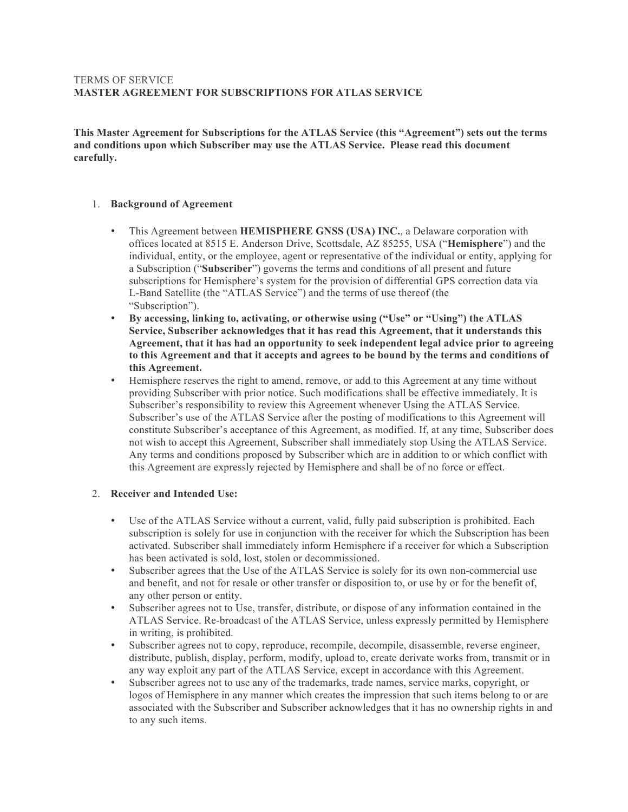## TERMS OF SERVICE **MASTER AGREEMENT FOR SUBSCRIPTIONS FOR ATLAS SERVICE**

**This Master Agreement for Subscriptions for the ATLAS Service (this "Agreement") sets out the terms and conditions upon which Subscriber may use the ATLAS Service. Please read this document carefully.**

### 1. **Background of Agreement**

- This Agreement between **HEMISPHERE GNSS (USA) INC.**, a Delaware corporation with offices located at 8515 E. Anderson Drive, Scottsdale, AZ 85255, USA ("**Hemisphere**") and the individual, entity, or the employee, agent or representative of the individual or entity, applying for a Subscription ("**Subscriber**") governs the terms and conditions of all present and future subscriptions for Hemisphere's system for the provision of differential GPS correction data via L-Band Satellite (the "ATLAS Service") and the terms of use thereof (the "Subscription").
- **By accessing, linking to, activating, or otherwise using ("Use" or "Using") the ATLAS Service, Subscriber acknowledges that it has read this Agreement, that it understands this Agreement, that it has had an opportunity to seek independent legal advice prior to agreeing to this Agreement and that it accepts and agrees to be bound by the terms and conditions of this Agreement.**
- Hemisphere reserves the right to amend, remove, or add to this Agreement at any time without providing Subscriber with prior notice. Such modifications shall be effective immediately. It is Subscriber's responsibility to review this Agreement whenever Using the ATLAS Service. Subscriber's use of the ATLAS Service after the posting of modifications to this Agreement will constitute Subscriber's acceptance of this Agreement, as modified. If, at any time, Subscriber does not wish to accept this Agreement, Subscriber shall immediately stop Using the ATLAS Service. Any terms and conditions proposed by Subscriber which are in addition to or which conflict with this Agreement are expressly rejected by Hemisphere and shall be of no force or effect.

## 2. **Receiver and Intended Use:**

- Use of the ATLAS Service without a current, valid, fully paid subscription is prohibited. Each subscription is solely for use in conjunction with the receiver for which the Subscription has been activated. Subscriber shall immediately inform Hemisphere if a receiver for which a Subscription has been activated is sold, lost, stolen or decommissioned.
- Subscriber agrees that the Use of the ATLAS Service is solely for its own non-commercial use and benefit, and not for resale or other transfer or disposition to, or use by or for the benefit of, any other person or entity.
- Subscriber agrees not to Use, transfer, distribute, or dispose of any information contained in the ATLAS Service. Re-broadcast of the ATLAS Service, unless expressly permitted by Hemisphere in writing, is prohibited.
- Subscriber agrees not to copy, reproduce, recompile, decompile, disassemble, reverse engineer, distribute, publish, display, perform, modify, upload to, create derivate works from, transmit or in any way exploit any part of the ATLAS Service, except in accordance with this Agreement.
- Subscriber agrees not to use any of the trademarks, trade names, service marks, copyright, or logos of Hemisphere in any manner which creates the impression that such items belong to or are associated with the Subscriber and Subscriber acknowledges that it has no ownership rights in and to any such items.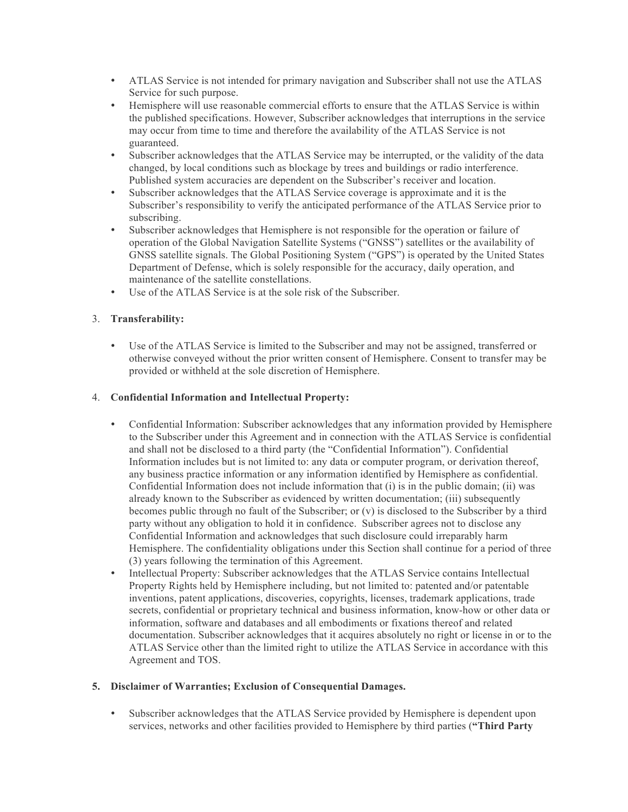- ATLAS Service is not intended for primary navigation and Subscriber shall not use the ATLAS Service for such purpose.
- Hemisphere will use reasonable commercial efforts to ensure that the ATLAS Service is within the published specifications. However, Subscriber acknowledges that interruptions in the service may occur from time to time and therefore the availability of the ATLAS Service is not guaranteed.
- Subscriber acknowledges that the ATLAS Service may be interrupted, or the validity of the data changed, by local conditions such as blockage by trees and buildings or radio interference. Published system accuracies are dependent on the Subscriber's receiver and location.
- Subscriber acknowledges that the ATLAS Service coverage is approximate and it is the Subscriber's responsibility to verify the anticipated performance of the ATLAS Service prior to subscribing.
- Subscriber acknowledges that Hemisphere is not responsible for the operation or failure of operation of the Global Navigation Satellite Systems ("GNSS") satellites or the availability of GNSS satellite signals. The Global Positioning System ("GPS") is operated by the United States Department of Defense, which is solely responsible for the accuracy, daily operation, and maintenance of the satellite constellations.
- Use of the ATLAS Service is at the sole risk of the Subscriber.

# 3. **Transferability:**

• Use of the ATLAS Service is limited to the Subscriber and may not be assigned, transferred or otherwise conveyed without the prior written consent of Hemisphere. Consent to transfer may be provided or withheld at the sole discretion of Hemisphere.

# 4. **Confidential Information and Intellectual Property:**

- Confidential Information: Subscriber acknowledges that any information provided by Hemisphere to the Subscriber under this Agreement and in connection with the ATLAS Service is confidential and shall not be disclosed to a third party (the "Confidential Information"). Confidential Information includes but is not limited to: any data or computer program, or derivation thereof, any business practice information or any information identified by Hemisphere as confidential. Confidential Information does not include information that (i) is in the public domain; (ii) was already known to the Subscriber as evidenced by written documentation; (iii) subsequently becomes public through no fault of the Subscriber; or (v) is disclosed to the Subscriber by a third party without any obligation to hold it in confidence. Subscriber agrees not to disclose any Confidential Information and acknowledges that such disclosure could irreparably harm Hemisphere. The confidentiality obligations under this Section shall continue for a period of three (3) years following the termination of this Agreement.
- Intellectual Property: Subscriber acknowledges that the ATLAS Service contains Intellectual Property Rights held by Hemisphere including, but not limited to: patented and/or patentable inventions, patent applications, discoveries, copyrights, licenses, trademark applications, trade secrets, confidential or proprietary technical and business information, know-how or other data or information, software and databases and all embodiments or fixations thereof and related documentation. Subscriber acknowledges that it acquires absolutely no right or license in or to the ATLAS Service other than the limited right to utilize the ATLAS Service in accordance with this Agreement and TOS.

## **5. Disclaimer of Warranties; Exclusion of Consequential Damages.**

• Subscriber acknowledges that the ATLAS Service provided by Hemisphere is dependent upon services, networks and other facilities provided to Hemisphere by third parties (**"Third Party**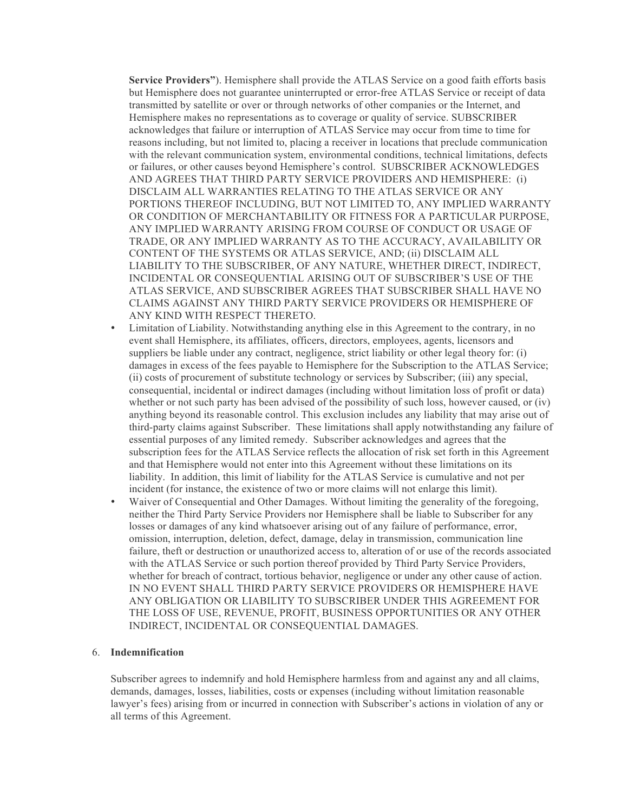**Service Providers"**). Hemisphere shall provide the ATLAS Service on a good faith efforts basis but Hemisphere does not guarantee uninterrupted or error-free ATLAS Service or receipt of data transmitted by satellite or over or through networks of other companies or the Internet, and Hemisphere makes no representations as to coverage or quality of service. SUBSCRIBER acknowledges that failure or interruption of ATLAS Service may occur from time to time for reasons including, but not limited to, placing a receiver in locations that preclude communication with the relevant communication system, environmental conditions, technical limitations, defects or failures, or other causes beyond Hemisphere's control. SUBSCRIBER ACKNOWLEDGES AND AGREES THAT THIRD PARTY SERVICE PROVIDERS AND HEMISPHERE: (i) DISCLAIM ALL WARRANTIES RELATING TO THE ATLAS SERVICE OR ANY PORTIONS THEREOF INCLUDING, BUT NOT LIMITED TO, ANY IMPLIED WARRANTY OR CONDITION OF MERCHANTABILITY OR FITNESS FOR A PARTICULAR PURPOSE, ANY IMPLIED WARRANTY ARISING FROM COURSE OF CONDUCT OR USAGE OF TRADE, OR ANY IMPLIED WARRANTY AS TO THE ACCURACY, AVAILABILITY OR CONTENT OF THE SYSTEMS OR ATLAS SERVICE, AND; (ii) DISCLAIM ALL LIABILITY TO THE SUBSCRIBER, OF ANY NATURE, WHETHER DIRECT, INDIRECT, INCIDENTAL OR CONSEQUENTIAL ARISING OUT OF SUBSCRIBER'S USE OF THE ATLAS SERVICE, AND SUBSCRIBER AGREES THAT SUBSCRIBER SHALL HAVE NO CLAIMS AGAINST ANY THIRD PARTY SERVICE PROVIDERS OR HEMISPHERE OF ANY KIND WITH RESPECT THERETO.

- Limitation of Liability. Notwithstanding anything else in this Agreement to the contrary, in no event shall Hemisphere, its affiliates, officers, directors, employees, agents, licensors and suppliers be liable under any contract, negligence, strict liability or other legal theory for: (i) damages in excess of the fees payable to Hemisphere for the Subscription to the ATLAS Service; (ii) costs of procurement of substitute technology or services by Subscriber; (iii) any special, consequential, incidental or indirect damages (including without limitation loss of profit or data) whether or not such party has been advised of the possibility of such loss, however caused, or (iv) anything beyond its reasonable control. This exclusion includes any liability that may arise out of third-party claims against Subscriber. These limitations shall apply notwithstanding any failure of essential purposes of any limited remedy. Subscriber acknowledges and agrees that the subscription fees for the ATLAS Service reflects the allocation of risk set forth in this Agreement and that Hemisphere would not enter into this Agreement without these limitations on its liability. In addition, this limit of liability for the ATLAS Service is cumulative and not per incident (for instance, the existence of two or more claims will not enlarge this limit).
- Waiver of Consequential and Other Damages. Without limiting the generality of the foregoing, neither the Third Party Service Providers nor Hemisphere shall be liable to Subscriber for any losses or damages of any kind whatsoever arising out of any failure of performance, error, omission, interruption, deletion, defect, damage, delay in transmission, communication line failure, theft or destruction or unauthorized access to, alteration of or use of the records associated with the ATLAS Service or such portion thereof provided by Third Party Service Providers, whether for breach of contract, tortious behavior, negligence or under any other cause of action. IN NO EVENT SHALL THIRD PARTY SERVICE PROVIDERS OR HEMISPHERE HAVE ANY OBLIGATION OR LIABILITY TO SUBSCRIBER UNDER THIS AGREEMENT FOR THE LOSS OF USE, REVENUE, PROFIT, BUSINESS OPPORTUNITIES OR ANY OTHER INDIRECT, INCIDENTAL OR CONSEQUENTIAL DAMAGES.

#### 6. **Indemnification**

Subscriber agrees to indemnify and hold Hemisphere harmless from and against any and all claims, demands, damages, losses, liabilities, costs or expenses (including without limitation reasonable lawyer's fees) arising from or incurred in connection with Subscriber's actions in violation of any or all terms of this Agreement.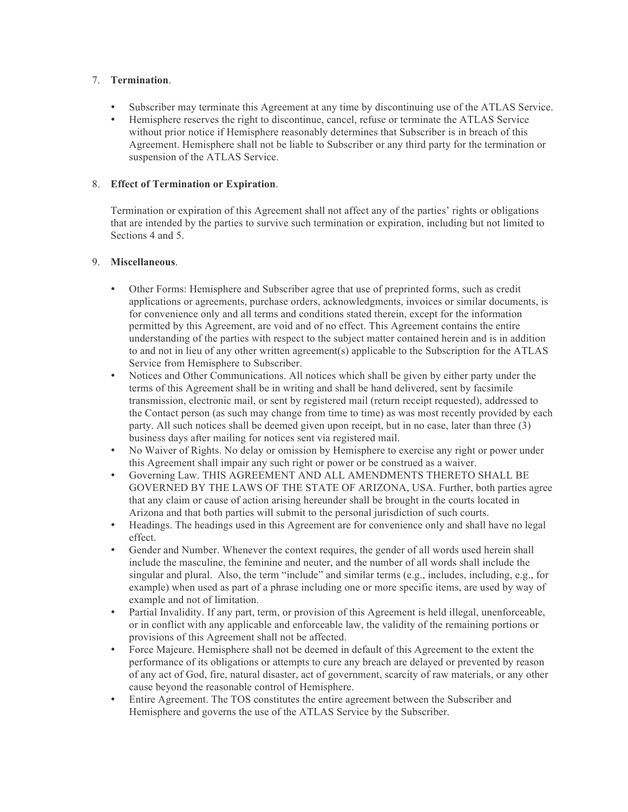## 7. **Termination**.

- Subscriber may terminate this Agreement at any time by discontinuing use of the ATLAS Service.
- Hemisphere reserves the right to discontinue, cancel, refuse or terminate the ATLAS Service without prior notice if Hemisphere reasonably determines that Subscriber is in breach of this Agreement. Hemisphere shall not be liable to Subscriber or any third party for the termination or suspension of the ATLAS Service.

### 8. **Effect of Termination or Expiration**.

Termination or expiration of this Agreement shall not affect any of the parties' rights or obligations that are intended by the parties to survive such termination or expiration, including but not limited to Sections 4 and 5.

### 9. **Miscellaneous**.

- Other Forms: Hemisphere and Subscriber agree that use of preprinted forms, such as credit applications or agreements, purchase orders, acknowledgments, invoices or similar documents, is for convenience only and all terms and conditions stated therein, except for the information permitted by this Agreement, are void and of no effect. This Agreement contains the entire understanding of the parties with respect to the subject matter contained herein and is in addition to and not in lieu of any other written agreement(s) applicable to the Subscription for the ATLAS Service from Hemisphere to Subscriber.
- Notices and Other Communications. All notices which shall be given by either party under the terms of this Agreement shall be in writing and shall be hand delivered, sent by facsimile transmission, electronic mail, or sent by registered mail (return receipt requested), addressed to the Contact person (as such may change from time to time) as was most recently provided by each party. All such notices shall be deemed given upon receipt, but in no case, later than three (3) business days after mailing for notices sent via registered mail.
- No Waiver of Rights. No delay or omission by Hemisphere to exercise any right or power under this Agreement shall impair any such right or power or be construed as a waiver.
- Governing Law. THIS AGREEMENT AND ALL AMENDMENTS THERETO SHALL BE GOVERNED BY THE LAWS OF THE STATE OF ARIZONA, USA. Further, both parties agree that any claim or cause of action arising hereunder shall be brought in the courts located in Arizona and that both parties will submit to the personal jurisdiction of such courts.
- Headings. The headings used in this Agreement are for convenience only and shall have no legal effect.
- Gender and Number. Whenever the context requires, the gender of all words used herein shall include the masculine, the feminine and neuter, and the number of all words shall include the singular and plural. Also, the term "include" and similar terms (e.g., includes, including, e.g., for example) when used as part of a phrase including one or more specific items, are used by way of example and not of limitation.
- Partial Invalidity. If any part, term, or provision of this Agreement is held illegal, unenforceable, or in conflict with any applicable and enforceable law, the validity of the remaining portions or provisions of this Agreement shall not be affected.
- Force Majeure. Hemisphere shall not be deemed in default of this Agreement to the extent the performance of its obligations or attempts to cure any breach are delayed or prevented by reason of any act of God, fire, natural disaster, act of government, scarcity of raw materials, or any other cause beyond the reasonable control of Hemisphere.
- Entire Agreement. The TOS constitutes the entire agreement between the Subscriber and Hemisphere and governs the use of the ATLAS Service by the Subscriber.